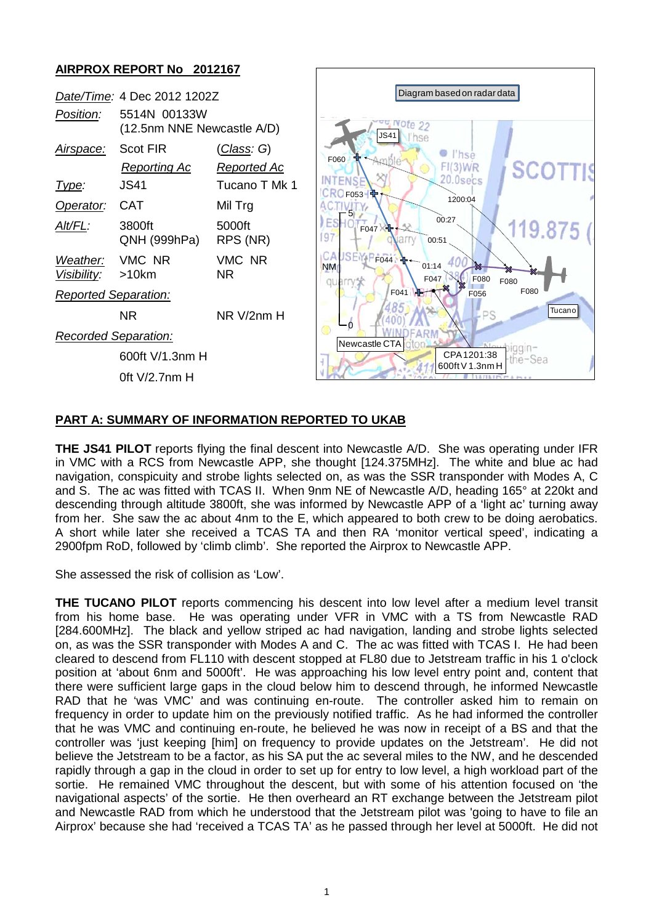# **AIRPROX REPORT No 2012167**



# **PART A: SUMMARY OF INFORMATION REPORTED TO UKAB**

**THE JS41 PILOT** reports flying the final descent into Newcastle A/D. She was operating under IFR in VMC with a RCS from Newcastle APP, she thought [124.375MHz]. The white and blue ac had navigation, conspicuity and strobe lights selected on, as was the SSR transponder with Modes A, C and S. The ac was fitted with TCAS II. When 9nm NE of Newcastle A/D, heading 165° at 220kt and descending through altitude 3800ft, she was informed by Newcastle APP of a 'light ac' turning away from her. She saw the ac about 4nm to the E, which appeared to both crew to be doing aerobatics. A short while later she received a TCAS TA and then RA 'monitor vertical speed', indicating a 2900fpm RoD, followed by 'climb climb'. She reported the Airprox to Newcastle APP.

She assessed the risk of collision as 'Low'.

**THE TUCANO PILOT** reports commencing his descent into low level after a medium level transit from his home base. He was operating under VFR in VMC with a TS from Newcastle RAD [284.600MHz]. The black and yellow striped ac had navigation, landing and strobe lights selected on, as was the SSR transponder with Modes A and C. The ac was fitted with TCAS I. He had been cleared to descend from FL110 with descent stopped at FL80 due to Jetstream traffic in his 1 o'clock position at 'about 6nm and 5000ft'. He was approaching his low level entry point and, content that there were sufficient large gaps in the cloud below him to descend through, he informed Newcastle RAD that he 'was VMC' and was continuing en-route. The controller asked him to remain on frequency in order to update him on the previously notified traffic. As he had informed the controller that he was VMC and continuing en-route, he believed he was now in receipt of a BS and that the controller was 'just keeping [him] on frequency to provide updates on the Jetstream'. He did not believe the Jetstream to be a factor, as his SA put the ac several miles to the NW, and he descended rapidly through a gap in the cloud in order to set up for entry to low level, a high workload part of the sortie. He remained VMC throughout the descent, but with some of his attention focused on 'the navigational aspects' of the sortie. He then overheard an RT exchange between the Jetstream pilot and Newcastle RAD from which he understood that the Jetstream pilot was 'going to have to file an Airprox' because she had 'received a TCAS TA' as he passed through her level at 5000ft. He did not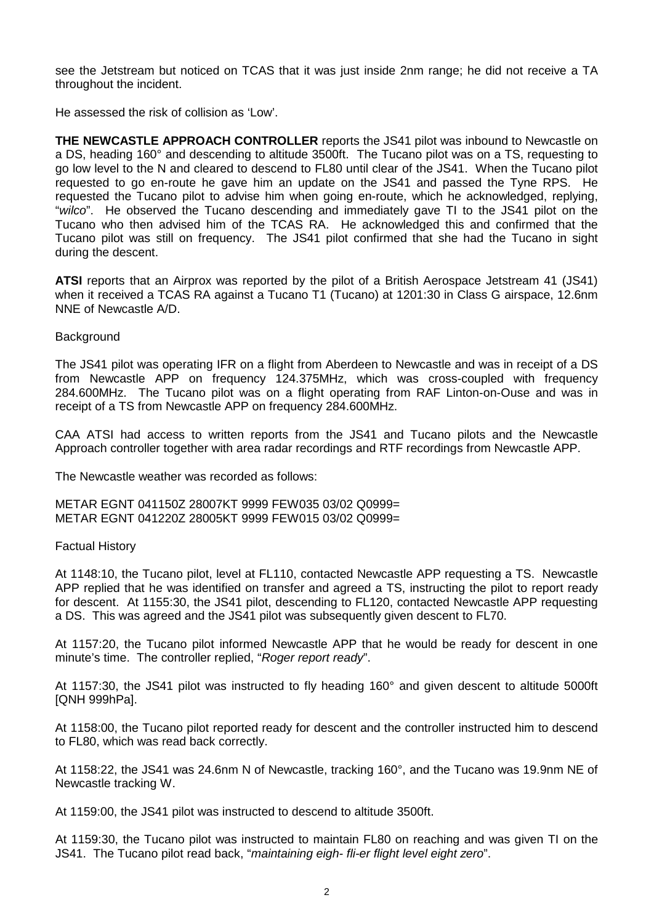see the Jetstream but noticed on TCAS that it was just inside 2nm range; he did not receive a TA throughout the incident.

He assessed the risk of collision as 'Low'.

**THE NEWCASTLE APPROACH CONTROLLER** reports the JS41 pilot was inbound to Newcastle on a DS, heading 160° and descending to altitude 3500ft. The Tucano pilot was on a TS, requesting to go low level to the N and cleared to descend to FL80 until clear of the JS41. When the Tucano pilot requested to go en-route he gave him an update on the JS41 and passed the Tyne RPS. He requested the Tucano pilot to advise him when going en-route, which he acknowledged, replying, "*wilco*". He observed the Tucano descending and immediately gave TI to the JS41 pilot on the Tucano who then advised him of the TCAS RA. He acknowledged this and confirmed that the Tucano pilot was still on frequency. The JS41 pilot confirmed that she had the Tucano in sight during the descent.

**ATSI** reports that an Airprox was reported by the pilot of a British Aerospace Jetstream 41 (JS41) when it received a TCAS RA against a Tucano T1 (Tucano) at 1201:30 in Class G airspace, 12.6nm NNE of Newcastle A/D.

### **Background**

The JS41 pilot was operating IFR on a flight from Aberdeen to Newcastle and was in receipt of a DS from Newcastle APP on frequency 124.375MHz, which was cross-coupled with frequency 284.600MHz. The Tucano pilot was on a flight operating from RAF Linton-on-Ouse and was in receipt of a TS from Newcastle APP on frequency 284.600MHz.

CAA ATSI had access to written reports from the JS41 and Tucano pilots and the Newcastle Approach controller together with area radar recordings and RTF recordings from Newcastle APP.

The Newcastle weather was recorded as follows:

METAR EGNT 041150Z 28007KT 9999 FEW035 03/02 Q0999= METAR EGNT 041220Z 28005KT 9999 FEW015 03/02 Q0999=

#### Factual History

At 1148:10, the Tucano pilot, level at FL110, contacted Newcastle APP requesting a TS. Newcastle APP replied that he was identified on transfer and agreed a TS, instructing the pilot to report ready for descent. At 1155:30, the JS41 pilot, descending to FL120, contacted Newcastle APP requesting a DS. This was agreed and the JS41 pilot was subsequently given descent to FL70.

At 1157:20, the Tucano pilot informed Newcastle APP that he would be ready for descent in one minute's time. The controller replied, "*Roger report ready*".

At 1157:30, the JS41 pilot was instructed to fly heading 160° and given descent to altitude 5000ft [QNH 999hPa].

At 1158:00, the Tucano pilot reported ready for descent and the controller instructed him to descend to FL80, which was read back correctly.

At 1158:22, the JS41 was 24.6nm N of Newcastle, tracking 160°, and the Tucano was 19.9nm NE of Newcastle tracking W.

At 1159:00, the JS41 pilot was instructed to descend to altitude 3500ft.

At 1159:30, the Tucano pilot was instructed to maintain FL80 on reaching and was given TI on the JS41. The Tucano pilot read back, "*maintaining eigh- fli-er flight level eight zero*".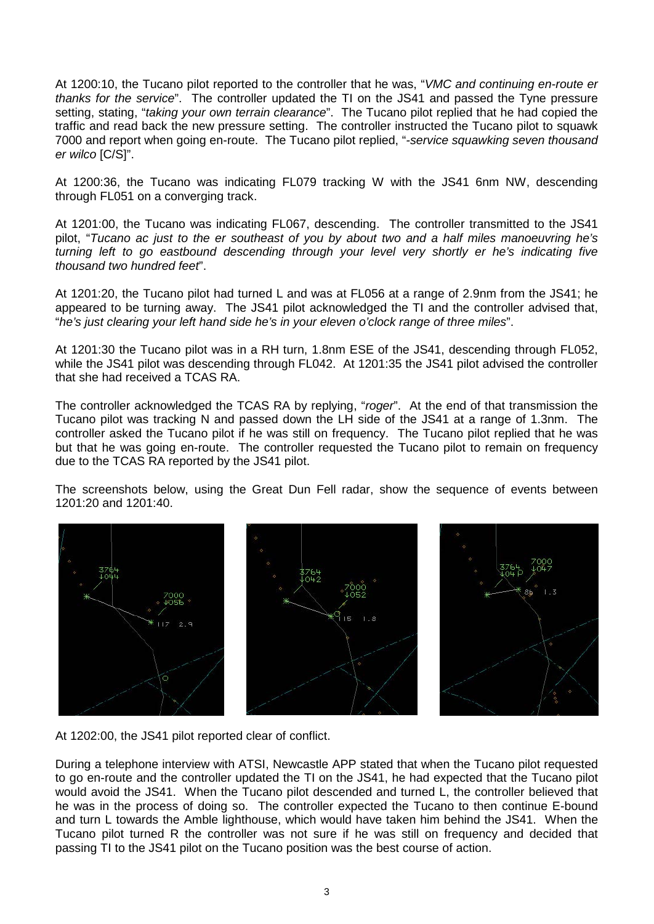At 1200:10, the Tucano pilot reported to the controller that he was, "*VMC and continuing en-route er thanks for the service*". The controller updated the TI on the JS41 and passed the Tyne pressure setting, stating, "*taking your own terrain clearance*". The Tucano pilot replied that he had copied the traffic and read back the new pressure setting. The controller instructed the Tucano pilot to squawk 7000 and report when going en-route. The Tucano pilot replied, "*-service squawking seven thousand er wilco* [C/S]".

At 1200:36, the Tucano was indicating FL079 tracking W with the JS41 6nm NW, descending through FL051 on a converging track.

At 1201:00, the Tucano was indicating FL067, descending. The controller transmitted to the JS41 pilot, "*Tucano ac just to the er southeast of you by about two and a half miles manoeuvring he's turning left to go eastbound descending through your level very shortly er he's indicating five thousand two hundred feet*".

At 1201:20, the Tucano pilot had turned L and was at FL056 at a range of 2.9nm from the JS41; he appeared to be turning away. The JS41 pilot acknowledged the TI and the controller advised that, "*he's just clearing your left hand side he's in your eleven o'clock range of three miles*".

At 1201:30 the Tucano pilot was in a RH turn, 1.8nm ESE of the JS41, descending through FL052, while the JS41 pilot was descending through FL042. At 1201:35 the JS41 pilot advised the controller that she had received a TCAS RA.

The controller acknowledged the TCAS RA by replying, "*roger*". At the end of that transmission the Tucano pilot was tracking N and passed down the LH side of the JS41 at a range of 1.3nm. The controller asked the Tucano pilot if he was still on frequency. The Tucano pilot replied that he was but that he was going en-route. The controller requested the Tucano pilot to remain on frequency due to the TCAS RA reported by the JS41 pilot.

The screenshots below, using the Great Dun Fell radar, show the sequence of events between 1201:20 and 1201:40.



At 1202:00, the JS41 pilot reported clear of conflict.

During a telephone interview with ATSI, Newcastle APP stated that when the Tucano pilot requested to go en-route and the controller updated the TI on the JS41, he had expected that the Tucano pilot would avoid the JS41. When the Tucano pilot descended and turned L, the controller believed that he was in the process of doing so. The controller expected the Tucano to then continue E-bound and turn L towards the Amble lighthouse, which would have taken him behind the JS41. When the Tucano pilot turned R the controller was not sure if he was still on frequency and decided that passing TI to the JS41 pilot on the Tucano position was the best course of action.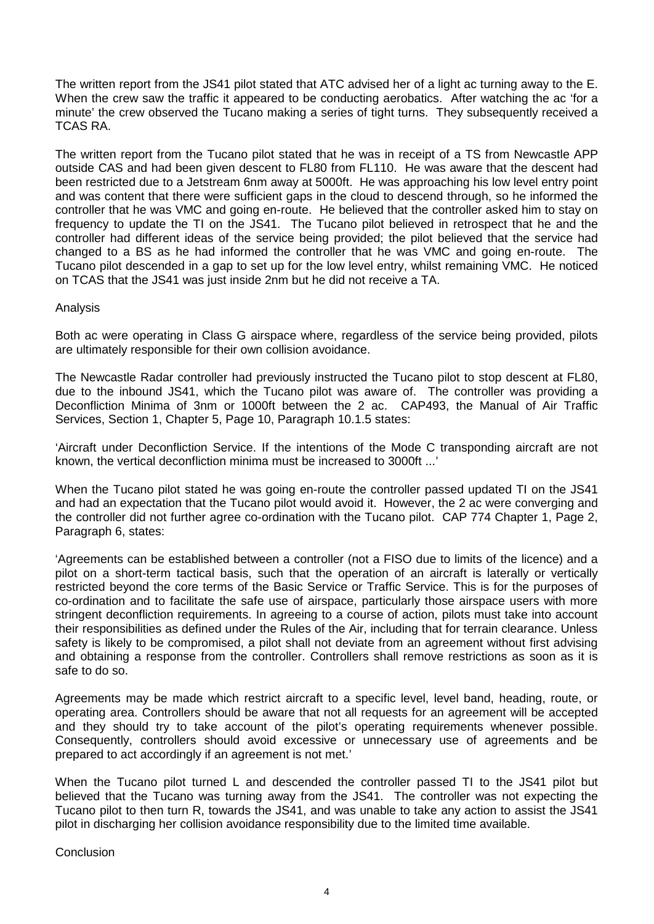The written report from the JS41 pilot stated that ATC advised her of a light ac turning away to the E. When the crew saw the traffic it appeared to be conducting aerobatics. After watching the ac 'for a minute' the crew observed the Tucano making a series of tight turns. They subsequently received a TCAS RA.

The written report from the Tucano pilot stated that he was in receipt of a TS from Newcastle APP outside CAS and had been given descent to FL80 from FL110. He was aware that the descent had been restricted due to a Jetstream 6nm away at 5000ft. He was approaching his low level entry point and was content that there were sufficient gaps in the cloud to descend through, so he informed the controller that he was VMC and going en-route. He believed that the controller asked him to stay on frequency to update the TI on the JS41. The Tucano pilot believed in retrospect that he and the controller had different ideas of the service being provided; the pilot believed that the service had changed to a BS as he had informed the controller that he was VMC and going en-route. The Tucano pilot descended in a gap to set up for the low level entry, whilst remaining VMC. He noticed on TCAS that the JS41 was just inside 2nm but he did not receive a TA.

### Analysis

Both ac were operating in Class G airspace where, regardless of the service being provided, pilots are ultimately responsible for their own collision avoidance.

The Newcastle Radar controller had previously instructed the Tucano pilot to stop descent at FL80, due to the inbound JS41, which the Tucano pilot was aware of. The controller was providing a Deconfliction Minima of 3nm or 1000ft between the 2 ac. CAP493, the Manual of Air Traffic Services, Section 1, Chapter 5, Page 10, Paragraph 10.1.5 states:

'Aircraft under Deconfliction Service. If the intentions of the Mode C transponding aircraft are not known, the vertical deconfliction minima must be increased to 3000ft ...'

When the Tucano pilot stated he was going en-route the controller passed updated TI on the JS41 and had an expectation that the Tucano pilot would avoid it. However, the 2 ac were converging and the controller did not further agree co-ordination with the Tucano pilot. CAP 774 Chapter 1, Page 2, Paragraph 6, states:

'Agreements can be established between a controller (not a FISO due to limits of the licence) and a pilot on a short-term tactical basis, such that the operation of an aircraft is laterally or vertically restricted beyond the core terms of the Basic Service or Traffic Service. This is for the purposes of co-ordination and to facilitate the safe use of airspace, particularly those airspace users with more stringent deconfliction requirements. In agreeing to a course of action, pilots must take into account their responsibilities as defined under the Rules of the Air, including that for terrain clearance. Unless safety is likely to be compromised, a pilot shall not deviate from an agreement without first advising and obtaining a response from the controller. Controllers shall remove restrictions as soon as it is safe to do so.

Agreements may be made which restrict aircraft to a specific level, level band, heading, route, or operating area. Controllers should be aware that not all requests for an agreement will be accepted and they should try to take account of the pilot's operating requirements whenever possible. Consequently, controllers should avoid excessive or unnecessary use of agreements and be prepared to act accordingly if an agreement is not met.'

When the Tucano pilot turned L and descended the controller passed TI to the JS41 pilot but believed that the Tucano was turning away from the JS41. The controller was not expecting the Tucano pilot to then turn R, towards the JS41, and was unable to take any action to assist the JS41 pilot in discharging her collision avoidance responsibility due to the limited time available.

**Conclusion**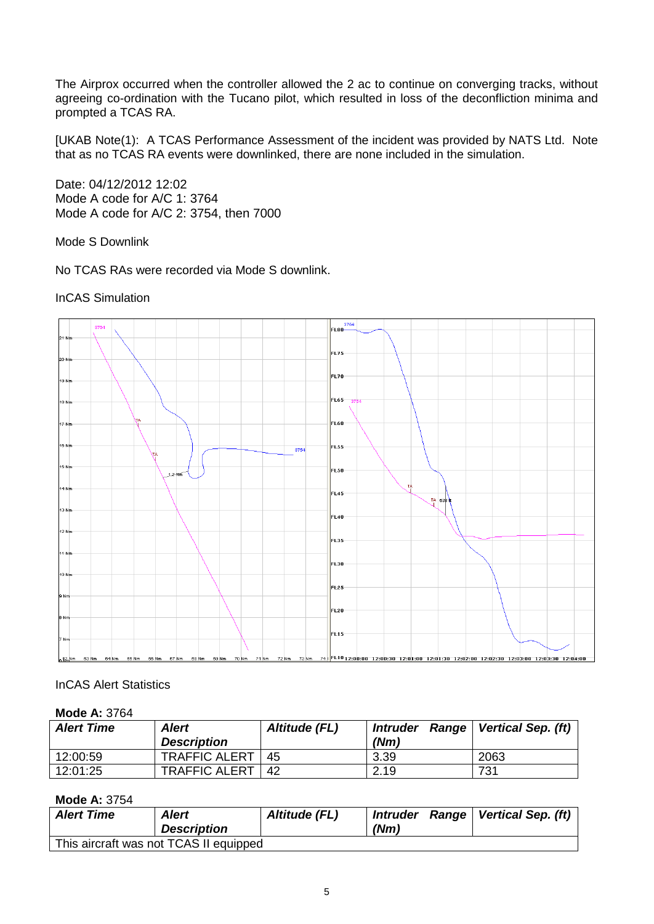The Airprox occurred when the controller allowed the 2 ac to continue on converging tracks, without agreeing co-ordination with the Tucano pilot, which resulted in loss of the deconfliction minima and prompted a TCAS RA.

[UKAB Note(1): A TCAS Performance Assessment of the incident was provided by NATS Ltd. Note that as no TCAS RA events were downlinked, there are none included in the simulation.

Date: 04/12/2012 12:02 Mode A code for A/C 1: 3764 Mode A code for A/C 2: 3754, then 7000

Mode S Downlink

No TCAS RAs were recorded via Mode S downlink.

InCAS Simulation



# InCAS Alert Statistics

# **Mode A:** 3764

| <b>Alert Time</b> | <b>Alert</b>         | Altitude (FL) | <b>Range</b><br><i><b>Intruder</b></i> | Vertical Sep. (ft) |
|-------------------|----------------------|---------------|----------------------------------------|--------------------|
|                   | <b>Description</b>   |               | (Nm)                                   |                    |
| 12:00:59          | <b>TRAFFIC ALERT</b> | 45            | 3.39                                   | 2063               |
| 12:01:25          | <b>TRAFFIC ALERT</b> | 42            | 2.19                                   | 731                |

# **Mode A:** 3754

| <b>Alert Time</b> | Alert<br><b>Description</b>            | Altitude (FL) | (Nm) | Intruder Range   Vertical Sep. (ft) |
|-------------------|----------------------------------------|---------------|------|-------------------------------------|
|                   | This aircraft was not TCAS II equipped |               |      |                                     |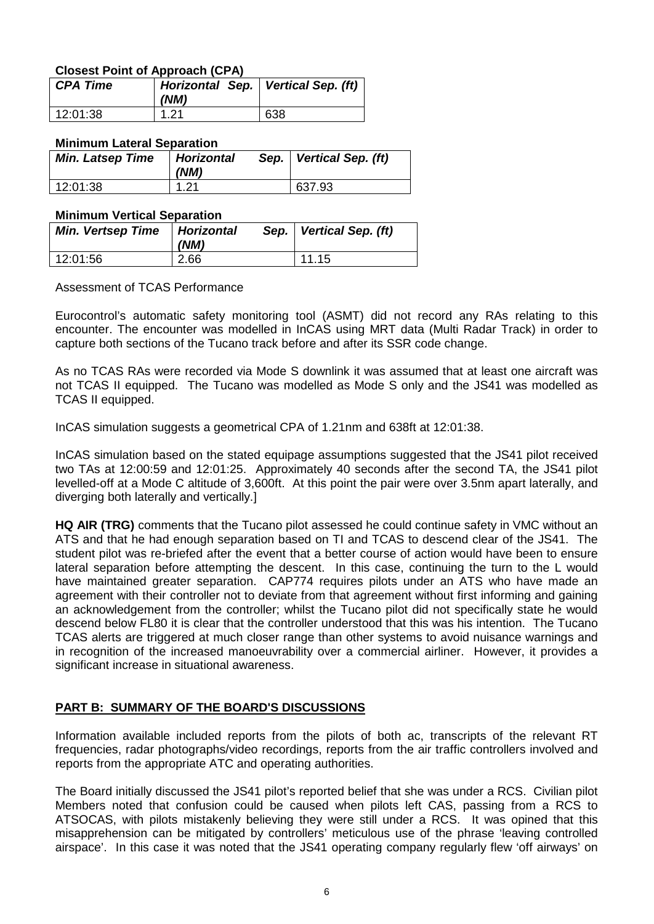# **Closest Point of Approach (CPA)**

| CPA Time | Horizontal Sep.   Vertical Sep. (ft)<br>(NM) |     |
|----------|----------------------------------------------|-----|
| 12:01:38 | 1.21                                         | 638 |

### **Minimum Lateral Separation**

| <b>Min. Latsep Time</b> | <b>Horizontal</b><br>(NM) | Sep.   Vertical Sep. (ft) |
|-------------------------|---------------------------|---------------------------|
| 12:01:38                | 1.21                      | 637.93                    |

### **Minimum Vertical Separation**

| <b>Min. Vertsep Time</b> | <b>Horizontal</b><br>(NM) | Sep.   Vertical Sep. (ft) |
|--------------------------|---------------------------|---------------------------|
| 12:01:56                 | 2.66                      | 11.15                     |

### Assessment of TCAS Performance

Eurocontrol's automatic safety monitoring tool (ASMT) did not record any RAs relating to this encounter. The encounter was modelled in InCAS using MRT data (Multi Radar Track) in order to capture both sections of the Tucano track before and after its SSR code change.

As no TCAS RAs were recorded via Mode S downlink it was assumed that at least one aircraft was not TCAS II equipped. The Tucano was modelled as Mode S only and the JS41 was modelled as TCAS II equipped.

InCAS simulation suggests a geometrical CPA of 1.21nm and 638ft at 12:01:38.

InCAS simulation based on the stated equipage assumptions suggested that the JS41 pilot received two TAs at 12:00:59 and 12:01:25. Approximately 40 seconds after the second TA, the JS41 pilot levelled-off at a Mode C altitude of 3,600ft. At this point the pair were over 3.5nm apart laterally, and diverging both laterally and vertically.]

**HQ AIR (TRG)** comments that the Tucano pilot assessed he could continue safety in VMC without an ATS and that he had enough separation based on TI and TCAS to descend clear of the JS41. The student pilot was re-briefed after the event that a better course of action would have been to ensure lateral separation before attempting the descent. In this case, continuing the turn to the L would have maintained greater separation. CAP774 requires pilots under an ATS who have made an agreement with their controller not to deviate from that agreement without first informing and gaining an acknowledgement from the controller; whilst the Tucano pilot did not specifically state he would descend below FL80 it is clear that the controller understood that this was his intention. The Tucano TCAS alerts are triggered at much closer range than other systems to avoid nuisance warnings and in recognition of the increased manoeuvrability over a commercial airliner. However, it provides a significant increase in situational awareness.

# **PART B: SUMMARY OF THE BOARD'S DISCUSSIONS**

Information available included reports from the pilots of both ac, transcripts of the relevant RT frequencies, radar photographs/video recordings, reports from the air traffic controllers involved and reports from the appropriate ATC and operating authorities.

The Board initially discussed the JS41 pilot's reported belief that she was under a RCS. Civilian pilot Members noted that confusion could be caused when pilots left CAS, passing from a RCS to ATSOCAS, with pilots mistakenly believing they were still under a RCS. It was opined that this misapprehension can be mitigated by controllers' meticulous use of the phrase 'leaving controlled airspace'. In this case it was noted that the JS41 operating company regularly flew 'off airways' on